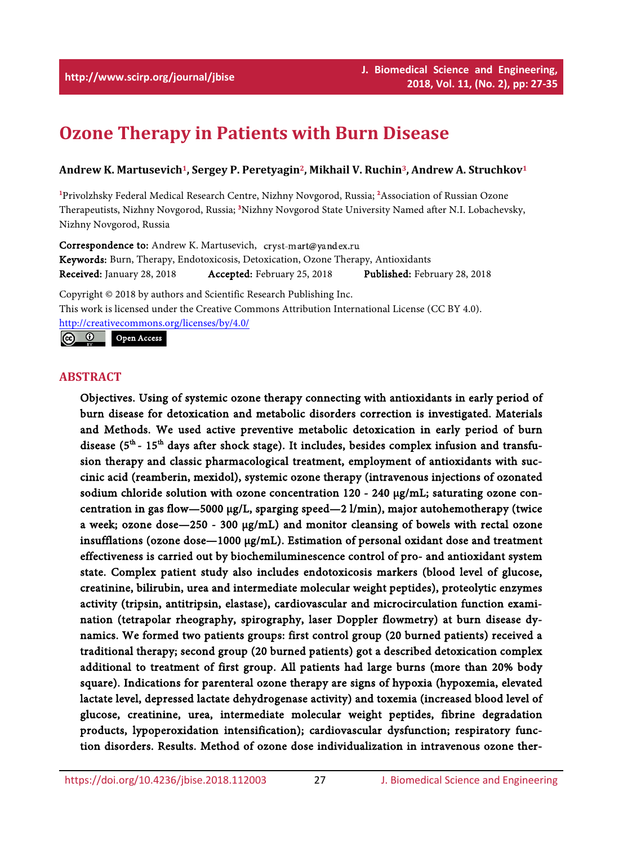# **Ozone Therapy in Patients with Burn Disease**

# **Andrew K. Martusevich1, Sergey P. Peretyagin2, Mikhail V. Ruchin3, Andrew A. Struchkov1**

<sup>1</sup>Privolzhsky Federal Medical Research Centre, Nizhny Novgorod, Russia; <sup>2</sup>Association of Russian Ozone Therapeutists, Nizhny Novgorod, Russia; <sup>3</sup>Nizhny Novgorod State University Named after N.I. Lobachevsky, Nizhny Novgorod, Russia

Correspondence to: Andrew K. Martusevich, cryst-mart@yandex.ru Keywords: Burn, Therapy, Endotoxicosis, Detoxication, Ozone Therapy, Antioxidants Received: January 28, 2018 Accepted: February 25, 2018 Published: February 28, 2018

Copyright © 2018 by authors and Scientific Research Publishing Inc. This work is licensed under the Creative Commons Attribution International License (CC BY 4.0). <http://creativecommons.org/licenses/by/4.0/>

 $\odot$   $\odot$ Open Access

# **ABSTRACT**

Objectives. Using of systemic ozone therapy connecting with antioxidants in early period of burn disease for detoxication and metabolic disorders correction is investigated. Materials and Methods. We used active preventive metabolic detoxication in early period of burn disease (5<sup>th</sup> - 15<sup>th</sup> days after shock stage). It includes, besides complex infusion and transfusion therapy and classic pharmacological treatment, employment of antioxidants with succinic acid (reamberin, mexidol), systemic [ozone therapy](https://www.austinozone.com) (intravenous injections of ozonated sodium chloride solution with ozone concentration 120 - 240 µg/mL; saturating ozone concentration in gas flow—5000  $\mu$ g/L, sparging speed—2 l/min), major autohemotherapy (twice a week; ozone dose-250 - 300 µg/mL) and monitor cleansing of bowels with rectal ozone insufflations (ozone dose—1000 µg/mL). Estimation of personal oxidant dose and treatment effectiveness is carried out by biochemiluminescence control of pro- and antioxidant system state. Complex patient study also includes endotoxicosis markers (blood level of glucose, creatinine, bilirubin, urea and intermediate molecular weight peptides), proteolytic enzymes activity (tripsin, antitripsin, elastase), cardiovascular and microcirculation function examination (tetrapolar rheography, spirography, laser Doppler flowmetry) at burn disease dynamics. We formed two patients groups: first control group (20 burned patients) received a traditional therapy; second group (20 burned patients) got a described detoxication complex additional to treatment of first group. All patients had large burns (more than 20% body square). Indications for parenteral ozone therapy are signs of hypoxia (hypoxemia, elevated lactate level, depressed lactate dehydrogenase activity) and toxemia (increased blood level of glucose, creatinine, urea, intermediate molecular weight peptides, fibrine degradation products, lypoperoxidation intensification); cardiovascular dysfunction; respiratory function disorders. Results. Method of ozone dose individualization in intravenous ozone ther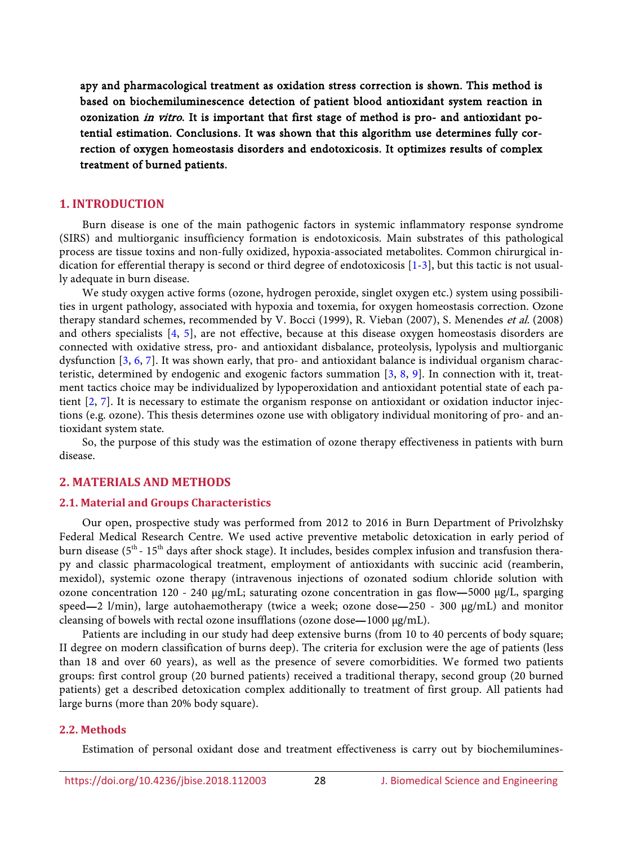apy and pharmacological treatment as oxidation stress correction is shown. This method is based on biochemiluminescence detection of patient blood antioxidant system reaction in ozonization in vitro. It is important that first stage of method is pro- and antioxidant potential estimation. Conclusions. It was shown that this algorithm use determines fully correction of oxygen homeostasis disorders and endotoxicosis. It optimizes results of complex treatment of burned patients.

# **1. INTRODUCTION**

Burn disease is one of the main pathogenic factors in systemic inflammatory response syndrome (SIRS) and multiorganic insufficiency formation is endotoxicosis. Main substrates of this pathological process are tissue toxins and non-fully oxidized, hypoxia-associated metabolites. Common chirurgical indication for efferential therapy is second or third degree of endotoxicosis [\[1](#page-7-0)[-3\]](#page-7-1), but this tactic is not usually adequate in burn disease.

We study oxygen active forms (ozone, hydrogen peroxide, singlet oxygen etc.) system using possibilities in urgent pathology, associated with hypoxia and toxemia, for oxygen homeostasis correction. Ozone therapy standard schemes, recommended by V. Bocci (1999), R. Vieban (2007), S. Menendes et al. (2008) and others specialists [\[4,](#page-7-2) [5\]](#page-7-3), are not effective, because at this disease oxygen homeostasis disorders are connected with oxidative stress, pro- and antioxidant disbalance, proteolysis, lypolysis and multiorganic dysfunction [\[3,](#page-7-1) [6,](#page-7-4) [7\]](#page-7-5). It was shown early, that pro- and antioxidant balance is individual organism characteristic, determined by endogenic and exogenic factors summation [\[3,](#page-7-1) [8,](#page-8-0) [9\]](#page-8-1). In connection with it, treatment tactics choice may be individualized by lypoperoxidation and antioxidant potential state of each patient [\[2,](#page-7-6) [7\]](#page-7-5). It is necessary to estimate the organism response on antioxidant or oxidation inductor injections (e.g. ozone). This thesis determines ozone use with obligatory individual monitoring of pro- and antioxidant system state.

So, the purpose of this study was the estimation of ozone therapy effectiveness in patients with burn disease.

#### **2. MATERIALS AND METHODS**

#### **2.1. Material and Groups Characteristics**

Our open, prospective study was performed from 2012 to 2016 in Burn Department of Privolzhsky Federal Medical Research Centre. We used active preventive metabolic detoxication in early period of burn disease (5<sup>th</sup> - 15<sup>th</sup> days after shock stage). It includes, besides complex infusion and transfusion therapy and classic pharmacological treatment, employment of antioxidants with succinic acid (reamberin, mexidol), systemic ozone therapy (intravenous injections of ozonated sodium chloride solution with ozone concentration 120 - 240 µg/mL; saturating ozone concentration in gas flow—5000 µg/L, sparging speed—2 l/min), large autohaemotherapy (twice a week; ozone dose—250 - 300 µg/mL) and monitor cleansing of bowels with rectal ozone insufflations (ozone dose—1000 µg/mL).

Patients are including in our study had deep extensive burns (from 10 to 40 percents of body square; II degree on modern classification of burns deep). The criteria for exclusion were the age of patients (less than 18 and over 60 years), as well as the presence of severe comorbidities. We formed two patients groups: first control group (20 burned patients) received a traditional therapy, second group (20 burned patients) get a described detoxication complex additionally to treatment of first group. All patients had large burns (more than 20% body square).

#### **2.2. Methods**

Estimation of personal oxidant dose and treatment effectiveness is carry out by biochemilumines-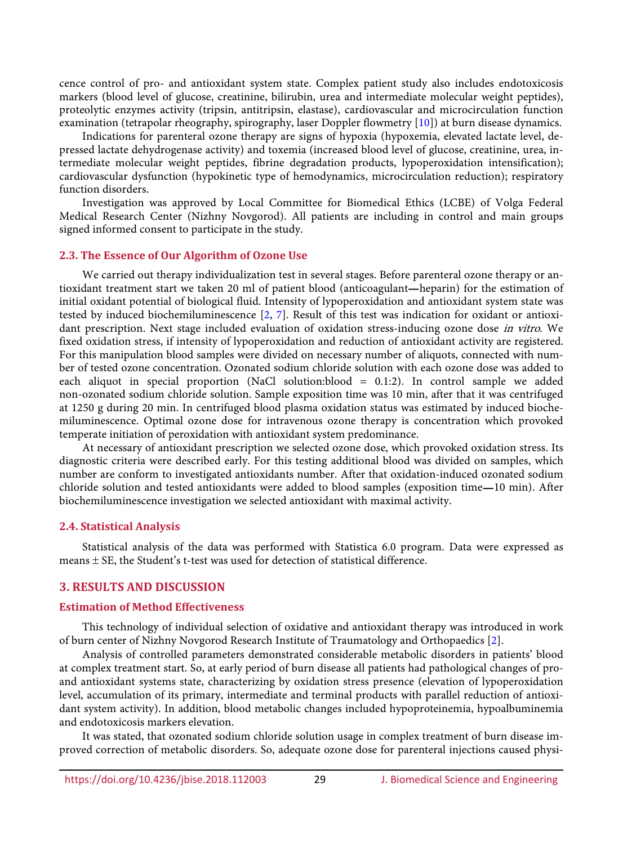cence control of pro- and antioxidant system state. Complex patient study also includes endotoxicosis markers (blood level of glucose, creatinine, bilirubin, urea and intermediate molecular weight peptides), proteolytic enzymes activity (tripsin, antitripsin, elastase), cardiovascular and microcirculation function examination (tetrapolar rheography, spirography, laser Doppler flowmetry [\[10\]](#page-8-2)) at burn disease dynamics.

Indications for parenteral ozone therapy are signs of hypoxia (hypoxemia, elevated lactate level, depressed lactate dehydrogenase activity) and toxemia (increased blood level of glucose, creatinine, urea, intermediate molecular weight peptides, fibrine degradation products, lypoperoxidation intensification); cardiovascular dysfunction (hypokinetic type of hemodynamics, microcirculation reduction); respiratory function disorders.

Investigation was approved by Local Committee for Biomedical Ethics (LCBE) of Volga Federal Medical Research Center (Nizhny Novgorod). All patients are including in control and main groups signed informed consent to participate in the study.

#### **2.3. The Essence of Our Algorithm of Ozone Use**

We carried out therapy individualization test in several stages. Before parenteral ozone therapy or antioxidant treatment start we taken 20 ml of patient blood (anticoagulant—heparin) for the estimation of initial oxidant potential of biological fluid. Intensity of lypoperoxidation and antioxidant system state was tested by induced biochemiluminescence [\[2,](#page-7-6) [7\]](#page-7-5). Result of this test was indication for oxidant or antioxidant prescription. Next stage included evaluation of oxidation stress-inducing ozone dose in vitro. We fixed oxidation stress, if intensity of lypoperoxidation and reduction of antioxidant activity are registered. For this manipulation blood samples were divided on necessary number of aliquots, connected with number of tested ozone concentration. Ozonated sodium chloride solution with each ozone dose was added to each aliquot in special proportion (NaCl solution:blood = 0.1:2). In control sample we added non-ozonated sodium chloride solution. Sample exposition time was 10 min, after that it was centrifuged at 1250 g during 20 min. In centrifuged blood plasma oxidation status was estimated by induced biochemiluminescence. Optimal ozone dose for intravenous ozone therapy is concentration which provoked temperate initiation of peroxidation with antioxidant system predominance.

At necessary of antioxidant prescription we selected ozone dose, which provoked oxidation stress. Its diagnostic criteria were described early. For this testing additional blood was divided on samples, which number are conform to investigated antioxidants number. After that oxidation-induced ozonated sodium chloride solution and tested antioxidants were added to blood samples (exposition time—10 min). After biochemiluminescence investigation we selected antioxidant with maximal activity.

#### **2.4. Statistical Analysis**

Statistical analysis of the data was performed with Statistica 6.0 program. Data were expressed as means  $\pm$  SE, the Student's t-test was used for detection of statistical difference.

#### **3. RESULTS AND DISCUSSION**

#### **Estimation of Method Effectiveness**

This technology of individual selection of oxidative and antioxidant therapy was introduced in work of burn center of Nizhny Novgorod Research Institute of Traumatology and Orthopaedics [\[2\]](#page-7-6).

Analysis of controlled parameters demonstrated considerable metabolic disorders in patients' blood at complex treatment start. So, at early period of burn disease all patients had pathological changes of proand antioxidant systems state, characterizing by oxidation stress presence (elevation of lypoperoxidation level, accumulation of its primary, intermediate and terminal products with parallel reduction of antioxidant system activity). In addition, blood metabolic changes included hypoproteinemia, hypoalbuminemia and endotoxicosis markers elevation.

It was stated, that ozonated sodium chloride solution usage in complex treatment of burn disease improved correction of metabolic disorders. So, adequate ozone dose for parenteral injections caused physi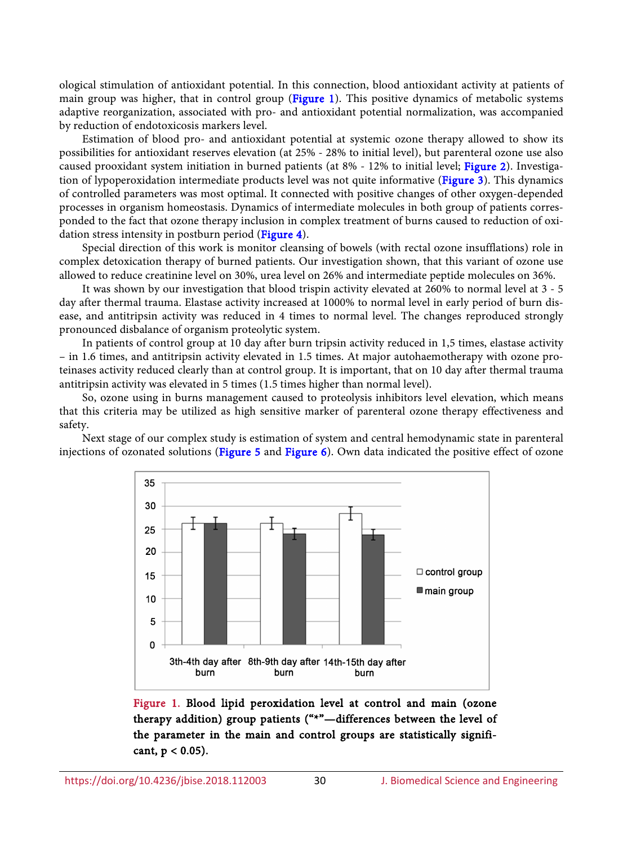ological stimulation of antioxidant potential. In this connection, blood antioxidant activity at patients of main group was higher, that in control group [\(Figure 1\)](#page-3-0). This positive dynamics of metabolic systems adaptive reorganization, associated with pro- and antioxidant potential normalization, was accompanied by reduction of endotoxicosis markers level.

Estimation of blood pro- and antioxidant potential at systemic ozone therapy allowed to show its possibilities for antioxidant reserves elevation (at 25% - 28% to initial level), but parenteral ozone use also caused prooxidant system initiation in burned patients (at 8% - 12% to initial level; [Figure 2\)](#page-4-0). Investigation of lypoperoxidation intermediate products level was not quite informative [\(Figure 3\)](#page-4-1). This dynamics of controlled parameters was most optimal. It connected with positive changes of other oxygen-depended processes in organism homeostasis. Dynamics of intermediate molecules in both group of patients corresponded to the fact that ozone therapy inclusion in complex treatment of burns caused to reduction of oxi-dation stress intensity in postburn period [\(Figure 4\)](#page-5-0).

Special direction of this work is monitor cleansing of bowels (with rectal ozone insufflations) role in complex detoxication therapy of burned patients. Our investigation shown, that this variant of ozone use allowed to reduce creatinine level on 30%, urea level on 26% and intermediate peptide molecules on 36%.

It was shown by our investigation that blood trispin activity elevated at 260% to normal level at 3 - 5 day after thermal trauma. Elastase activity increased at 1000% to normal level in early period of burn disease, and antitripsin activity was reduced in 4 times to normal level. The changes reproduced strongly pronounced disbalance of organism proteolytic system.

In patients of control group at 10 day after burn tripsin activity reduced in 1,5 times, elastase activity – in 1.6 times, and antitripsin activity elevated in 1.5 times. At major autohaemotherapy with ozone proteinases activity reduced clearly than at control group. It is important, that on 10 day after thermal trauma antitripsin activity was elevated in 5 times (1.5 times higher than normal level).

So, ozone using in burns management caused to proteolysis inhibitors level elevation, which means that this criteria may be utilized as high sensitive marker of parenteral ozone therapy effectiveness and safety.

<span id="page-3-0"></span>Next stage of our complex study is estimation of system and central hemodynamic state in parenteral injections of ozonated solutions [\(Figure 5](#page-5-1) and [Figure 6\)](#page-6-0). Own data indicated the positive effect of ozone



Figure 1. Blood lipid peroxidation level at control and main (ozone therapy addition) group patients ("\*"—differences between the level of the parameter in the main and control groups are statistically significant,  $p < 0.05$ ).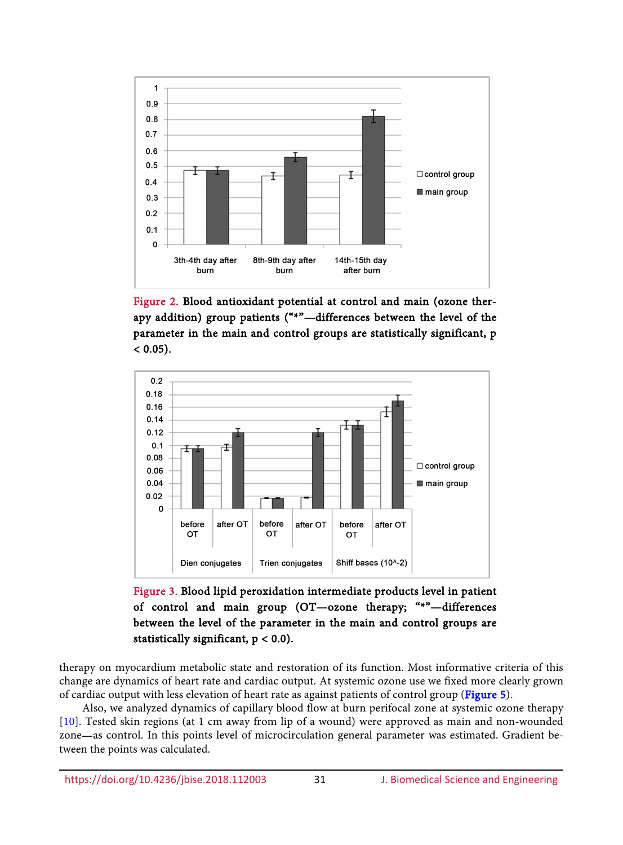<span id="page-4-0"></span>

Figure 2. Blood antioxidant potential at control and main (ozone therapy addition) group patients ("\*"—differences between the level of the parameter in the main and control groups are statistically significant, p  $< 0.05$ ).

<span id="page-4-1"></span>

Figure 3. Blood lipid peroxidation intermediate products level in patient of control and main group (OT—ozone therapy; "\*"—differences between the level of the parameter in the main and control groups are statistically significant,  $p < 0.0$ ).

therapy on myocardium metabolic state and restoration of its function. Most informative criteria of this change are dynamics of heart rate and cardiac output. At systemic ozone use we fixed more clearly grown of cardiac output with less elevation of heart rate as against patients of control group [\(Figure 5\)](#page-5-1).

Also, we analyzed dynamics of capillary blood flow at burn perifocal zone at systemic ozone therapy [\[10\]](#page-8-2). Tested skin regions (at 1 cm away from lip of a wound) were approved as main and non-wounded zone—as control. In this points level of microcirculation general parameter was estimated. Gradient between the points was calculated.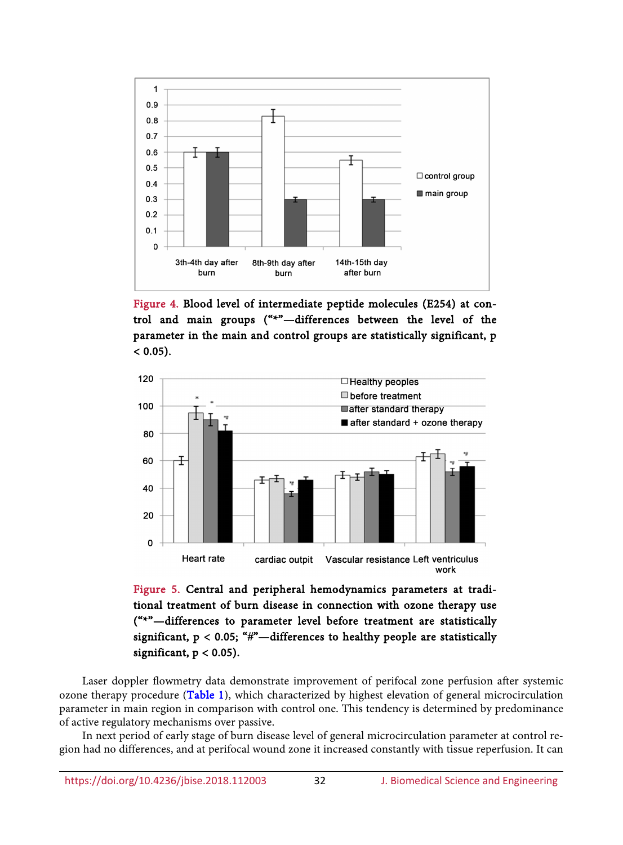<span id="page-5-0"></span>

Figure 4. Blood level of intermediate peptide molecules (Е254) at control and main groups ("\*"—differences between the level of the parameter in the main and control groups are statistically significant, p  $< 0.05$ ).

<span id="page-5-1"></span>

Figure 5. Central and peripheral hemodynamics parameters at traditional treatment of burn disease in connection with ozone therapy use ("\*"—differences to parameter level before treatment are statistically significant,  $p < 0.05$ ; "#"-differences to healthy people are statistically significant,  $p < 0.05$ ).

Laser doppler flowmetry data demonstrate improvement of perifocal zone perfusion after systemic ozone therapy procedure [\(Table 1\)](#page-6-1), which characterized by highest elevation of general microcirculation parameter in main region in comparison with control one. This tendency is determined by predominance of active regulatory mechanisms over passive.

In next period of early stage of burn disease level of general microcirculation parameter at control region had no differences, and at perifocal wound zone it increased constantly with tissue reperfusion. It can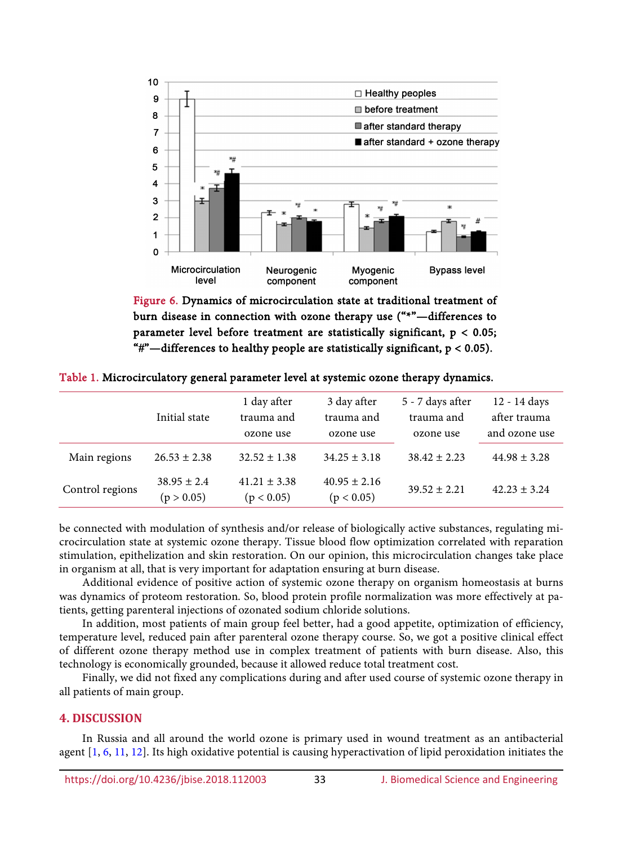<span id="page-6-0"></span>

Figure 6. Dynamics of microcirculation state at traditional treatment of burn disease in connection with ozone therapy use ("\*"—differences to parameter level before treatment are statistically significant,  $p < 0.05$ ; "#"—differences to healthy people are statistically significant,  $p < 0.05$ ).

|                 | Initial state                 | 1 day after<br>trauma and<br>ozone use | 3 day after<br>trauma and<br>ozone use | 5 - 7 days after<br>trauma and<br>ozone use | 12 - 14 days<br>after trauma<br>and ozone use |
|-----------------|-------------------------------|----------------------------------------|----------------------------------------|---------------------------------------------|-----------------------------------------------|
| Main regions    | $26.53 \pm 2.38$              | $32.52 \pm 1.38$                       | $34.25 \pm 3.18$                       | $38.42 \pm 2.23$                            | $44.98 \pm 3.28$                              |
| Control regions | $38.95 \pm 2.4$<br>(p > 0.05) | $41.21 \pm 3.38$<br>(p < 0.05)         | $40.95 \pm 2.16$<br>(p < 0.05)         | $39.52 + 2.21$                              | $42.23 \pm 3.24$                              |

<span id="page-6-1"></span>Table 1. Microcirculatory general parameter level at systemic ozone therapy dynamics.

be connected with modulation of synthesis and/or release of biologically active substances, regulating microcirculation state at systemic ozone therapy. Tissue blood flow optimization correlated with reparation stimulation, epithelization and skin restoration. On our opinion, this microcirculation changes take place in organism at all, that is very important for adaptation ensuring at burn disease.

Additional evidence of positive action of systemic ozone therapy on organism homeostasis at burns was dynamics of proteom restoration. So, blood protein profile normalization was more effectively at patients, getting parenteral injections of ozonated sodium chloride solutions.

In addition, most patients of main group feel better, had a good appetite, optimization of efficiency, temperature level, reduced pain after parenteral ozone therapy course. So, we got a positive clinical effect of different ozone therapy method use in complex treatment of patients with burn disease. Also, this technology is economically grounded, because it allowed reduce total treatment cost.

Finally, we did not fixed any complications during and after used course of systemic ozone therapy in all patients of main group.

# **4. DISCUSSION**

In Russia and all around the world ozone is primary used in wound treatment as an antibacterial agent [\[1,](#page-7-0) [6,](#page-7-4) [11,](#page-8-3) [12\]](#page-8-4). Its high oxidative potential is causing hyperactivation of lipid peroxidation initiates the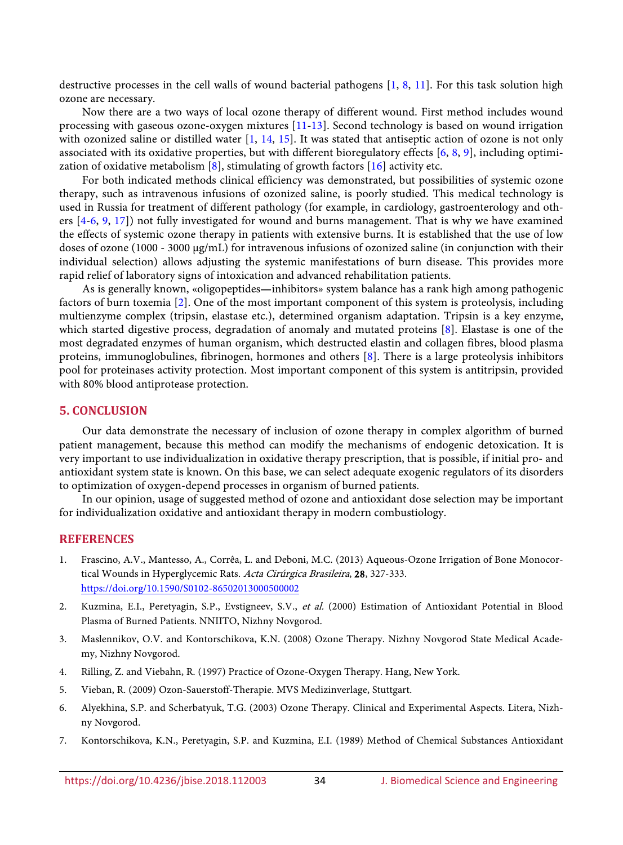destructive processes in the cell walls of wound bacterial pathogens  $[1, 8, 11]$  $[1, 8, 11]$  $[1, 8, 11]$  $[1, 8, 11]$  $[1, 8, 11]$ . For this task solution high ozone are necessary.

Now there are a two ways of local ozone therapy of different wound. First method includes wound processing with gaseous ozone-oxygen mixtures [\[11-](#page-8-3)[13\]](#page-8-5). Second technology is based on wound irrigation with ozonized saline or distilled water [\[1,](#page-7-0) [14,](#page-8-6) [15\]](#page-8-7). It was stated that antiseptic action of ozone is not only associated with its oxidative properties, but with different bioregulatory effects [\[6,](#page-7-4) [8,](#page-8-0) [9\]](#page-8-1), including optimization of oxidative metabolism [\[8\]](#page-8-0), stimulating of growth factors [\[16\]](#page-8-8) activity etc.

For both indicated methods clinical efficiency was demonstrated, but possibilities of systemic ozone therapy, such as intravenous infusions of ozonized saline, is poorly studied. This medical technology is used in Russia for treatment of different pathology (for example, in cardiology, gastroenterology and others [\[4](#page-7-2)[-6,](#page-7-4) [9,](#page-8-1) [17\]](#page-8-9)) not fully investigated for wound and burns management. That is why we have examined the effects of systemic ozone therapy in patients with extensive burns. It is established that the use of low doses of ozone (1000 - 3000 µg/mL) for intravenous infusions of ozonized saline (in conjunction with their individual selection) allows adjusting the systemic manifestations of burn disease. This provides more rapid relief of laboratory signs of intoxication and advanced rehabilitation patients.

As is generally known, «oligopeptides—inhibitors» system balance has a rank high among pathogenic factors of burn toxemia [\[2\]](#page-7-6). One of the most important component of this system is proteolysis, including multienzyme complex (tripsin, elastase etc.), determined organism adaptation. Tripsin is a key enzyme, which started digestive process, degradation of anomaly and mutated proteins [\[8\]](#page-8-0). Elastase is one of the most degradated enzymes of human organism, which destructed elastin and collagen fibres, blood plasma proteins, immunoglobulines, fibrinogen, hormones and others [\[8\]](#page-8-0). There is a large proteolysis inhibitors pool for proteinases activity protection. Most important component of this system is antitripsin, provided with 80% blood antiprotease protection.

## **5. CONCLUSION**

Our data demonstrate the necessary of inclusion of ozone therapy in complex algorithm of burned patient management, because this method can modify the mechanisms of endogenic detoxication. It is very important to use individualization in oxidative therapy prescription, that is possible, if initial pro- and antioxidant system state is known. On this base, we can select adequate exogenic regulators of its disorders to optimization of oxygen-depend processes in organism of burned patients.

In our opinion, usage of suggested method of ozone and antioxidant dose selection may be important for individualization oxidative and antioxidant therapy in modern combustiology.

# **REFERENCES**

- <span id="page-7-0"></span>1. Frascino, A.V., Mantesso, A., Corrêa, L. and Deboni, M.C. (2013) Aqueous-Ozone Irrigation of Bone Monocortical Wounds in Hyperglycemic Rats. Acta Cirúrgica Brasileira, 28, 327-333. <https://doi.org/10.1590/S0102-86502013000500002>
- <span id="page-7-6"></span>2. Kuzmina, E.I., Peretyagin, S.P., Evstigneev, S.V., et al. (2000) Estimation of Antioxidant Potential in Blood Plasma of Burned Patients. NNIITO, Nizhny Novgorod.
- <span id="page-7-1"></span>3. Maslennikov, O.V. and Kontorschikova, K.N. (2008) Ozone Therapy. Nizhny Novgorod State Medical Academy, Nizhny Novgorod.
- <span id="page-7-2"></span>4. Rilling, Z. and Viebahn, R. (1997) Practice of Ozone-Oxygen Therapy. Hang, New York.
- <span id="page-7-3"></span>5. Vieban, R. (2009) Ozon-Sauerstoff-Therapie. MVS Medizinverlage, Stuttgart.
- <span id="page-7-4"></span>6. Alyekhina, S.P. and Scherbatyuk, T.G. (2003) Ozone Therapy. Clinical and Experimental Aspects. Litera, Nizhny Novgorod.
- <span id="page-7-5"></span>7. Kontorschikova, K.N., Peretyagin, S.P. and Kuzmina, E.I. (1989) Method of Chemical Substances Antioxidant